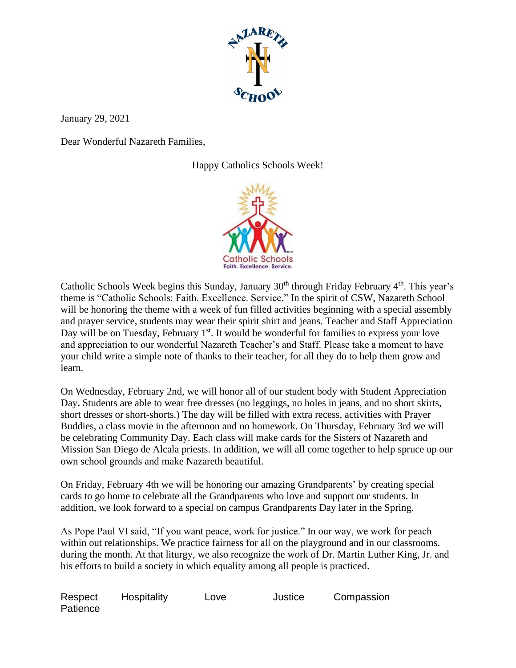

January 29, 2021

Dear Wonderful Nazareth Families,

Happy Catholics Schools Week!



Catholic Schools Week begins this Sunday, January 30<sup>th</sup> through Friday February 4<sup>th</sup>. This year's theme is "Catholic Schools: Faith. Excellence. Service." In the spirit of CSW, Nazareth School will be honoring the theme with a week of fun filled activities beginning with a special assembly and prayer service, students may wear their spirit shirt and jeans. Teacher and Staff Appreciation Day will be on Tuesday, February  $1<sup>st</sup>$ . It would be wonderful for families to express your love and appreciation to our wonderful Nazareth Teacher's and Staff. Please take a moment to have your child write a simple note of thanks to their teacher, for all they do to help them grow and learn.

On Wednesday, February 2nd, we will honor all of our student body with Student Appreciation Day**.** Students are able to wear free dresses (no leggings, no holes in jeans, and no short skirts, short dresses or short-shorts.) The day will be filled with extra recess, activities with Prayer Buddies, a class movie in the afternoon and no homework. On Thursday, February 3rd we will be celebrating Community Day. Each class will make cards for the Sisters of Nazareth and Mission San Diego de Alcala priests. In addition, we will all come together to help spruce up our own school grounds and make Nazareth beautiful.

On Friday, February 4th we will be honoring our amazing Grandparents' by creating special cards to go home to celebrate all the Grandparents who love and support our students. In addition, we look forward to a special on campus Grandparents Day later in the Spring.

As Pope Paul VI said, "If you want peace, work for justice." In our way, we work for peach within out relationships. We practice fairness for all on the playground and in our classrooms. during the month. At that liturgy, we also recognize the work of Dr. Martin Luther King, Jr. and his efforts to build a society in which equality among all people is practiced.

| Respect  | Hospitality | Love | Justice | Compassion |
|----------|-------------|------|---------|------------|
| Patience |             |      |         |            |